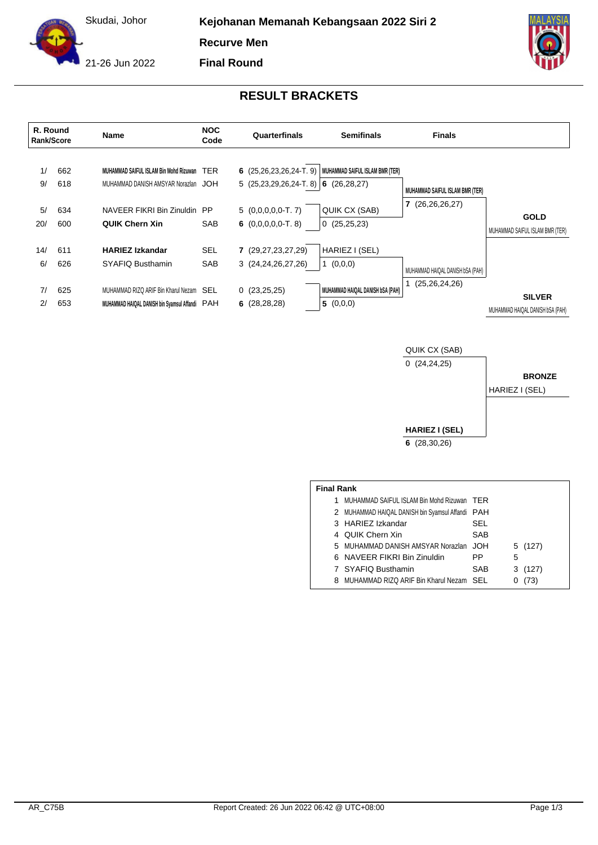Skudai, Johor

**Kejohanan Memanah Kebangsaan 2022 Siri 2**

**Recurve Men**

**Final Round**

21-26 Jun 2022





QUIK CX (SAB) 0 (24,24,25) **HARIEZ I (SEL) 6** (28,30,26) **BRONZE** HARIEZ I (SEL)

| <b>Final Rank</b> |                                                  |            |         |  |  |  |  |  |
|-------------------|--------------------------------------------------|------------|---------|--|--|--|--|--|
| 1.                | MUHAMMAD SAIFUL ISLAM Bin Mohd Rizuwan TER       |            |         |  |  |  |  |  |
|                   | 2 MUHAMMAD HAIQAL DANISH bin Syamsul Affandi PAH |            |         |  |  |  |  |  |
|                   | 3 HARIEZ Izkandar                                | SEL        |         |  |  |  |  |  |
|                   | 4 QUIK Chern Xin                                 | SAB        |         |  |  |  |  |  |
|                   | 5 MUHAMMAD DANISH AMSYAR Norazlan JOH            |            | 5 (127) |  |  |  |  |  |
|                   | 6 NAVEER FIKRI Bin Zinuldin                      | PP         | 5       |  |  |  |  |  |
|                   | 7 SYAFIQ Busthamin                               | <b>SAB</b> | 3(127)  |  |  |  |  |  |
|                   | 8 MUHAMMAD RIZQ ARIF Bin Kharul Nezam SEL        |            | (73)    |  |  |  |  |  |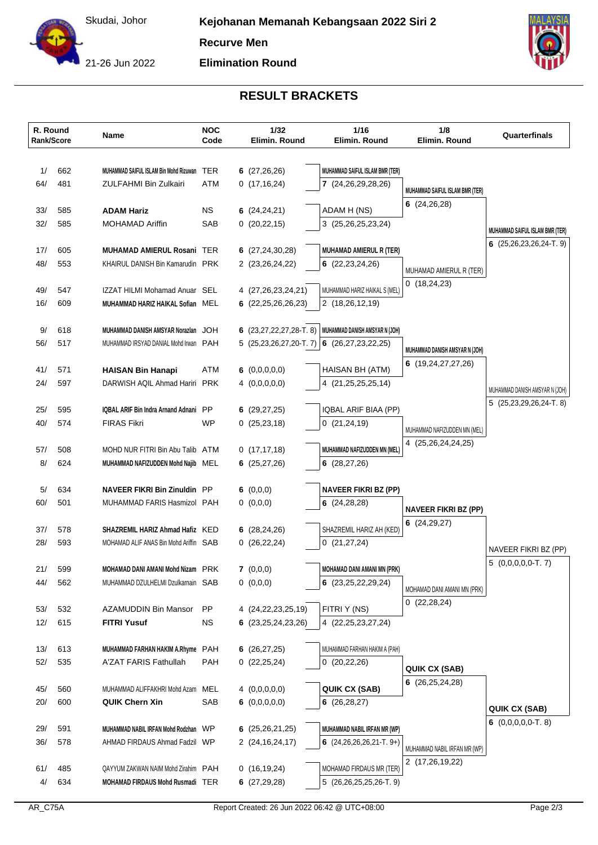Skudai, Johor

21-26 Jun 2022





## **RESULT BRACKETS**

| R. Round<br>Rank/Score |            | Name                                                               | <b>NOC</b><br>Code | 1/32<br>Elimin. Round                         | 1/16<br>Elimin. Round            | 1/8<br>Elimin. Round                                 | Quarterfinals                              |
|------------------------|------------|--------------------------------------------------------------------|--------------------|-----------------------------------------------|----------------------------------|------------------------------------------------------|--------------------------------------------|
|                        |            |                                                                    |                    |                                               |                                  |                                                      |                                            |
| 1/                     | 662        | MUHAMMAD SAIFUL ISLAM Bin Mohd Rizuwan TER                         |                    | 6(27,26,26)                                   | MUHAMMAD SAIFUL ISLAM BMR (TER)  |                                                      |                                            |
| 64/                    | 481        | ZULFAHMI Bin Zulkairi                                              | ATM                | 0(17, 16, 24)                                 | 7 (24,26,29,28,26)               | MUHAMMAD SAIFUL ISLAM BMR (TER)                      |                                            |
|                        |            |                                                                    |                    |                                               |                                  | 6 $(24, 26, 28)$                                     |                                            |
| 33/<br>32/             | 585<br>585 | <b>ADAM Hariz</b><br><b>MOHAMAD Ariffin</b>                        | NS.<br>SAB         | 6 $(24, 24, 21)$                              | ADAM H (NS)                      |                                                      |                                            |
|                        |            |                                                                    |                    | 0(20, 22, 15)                                 | 3 (25,26,25,23,24)               |                                                      | MUHAMMAD SAIFUL ISLAM BMR (TER)            |
| 17/                    | 605        | <b>MUHAMAD AMIERUL Rosani TER</b>                                  |                    | 6(27,24,30,28)                                | <b>MUHAMAD AMIERUL R (TER)</b>   |                                                      | 6 $(25,26,23,26,24$ -T. 9)                 |
| 48/                    | 553        | KHAIRUL DANISH Bin Kamarudin PRK                                   |                    | 2 (23,26,24,22)                               | 6 $(22, 23, 24, 26)$             |                                                      |                                            |
|                        |            |                                                                    |                    |                                               |                                  | MUHAMAD AMIERUL R (TER)<br>0(18,24,23)               |                                            |
| 49/                    | 547        | IZZAT HILMI Mohamad Anuar SEL                                      |                    | 4 (27,26,23,24,21)                            | MUHAMMAD HARIZ HAIKAL S (MEL)    |                                                      |                                            |
| 16/                    | 609        | MUHAMMAD HARIZ HAIKAL Sofian MEL                                   |                    | 6(22, 25, 26, 26, 23)                         | 2 (18,26,12,19)                  |                                                      |                                            |
| 9/                     | 618        | MUHAMMAD DANISH AMSYAR Norazlan JOH                                |                    | 6 $(23, 27, 22, 27, 28$ -T. 8)                | MUHAMMAD DANISH AMSYAR N (JOH)   |                                                      |                                            |
| 56/                    | 517        | MUHAMMAD IRSYAD DANIAL Mohd Irwan PAH                              |                    | 5 $(25,23,26,27,20-T.7)$ 6 $(26,27,23,22,25)$ |                                  |                                                      |                                            |
|                        |            |                                                                    |                    |                                               |                                  | MUHAMMAD DANISH AMSYAR N (JOH)<br>6 (19,24,27,27,26) |                                            |
| 41/                    | 571        | <b>HAISAN Bin Hanapi</b>                                           | ATM                | 6 $(0,0,0,0,0)$                               | HAISAN BH (ATM)                  |                                                      |                                            |
| 24/                    | 597        | DARWISH AQIL Ahmad Hariri PRK                                      |                    | 4(0,0,0,0,0)                                  | 4 (21, 25, 25, 25, 14)           |                                                      | MUHAMMAD DANISH AMSYAR N (JOH)             |
| 25/                    | 595        | IQBAL ARIF Bin Indra Arnand Adnani PP                              |                    | 6 $(29, 27, 25)$                              | IQBAL ARIF BIAA (PP)             |                                                      | $5(25,23,29,26,24-T.8)$                    |
| 40/                    | 574        | <b>FIRAS Fikri</b>                                                 | WP                 | 0(25, 23, 18)                                 | 0(21,24,19)                      |                                                      |                                            |
|                        |            |                                                                    |                    |                                               |                                  | MUHAMMAD NAFIZUDDEN MN (MEL)                         |                                            |
| 57/                    | 508        | MOHD NUR FITRI Bin Abu Talib ATM                                   |                    | 0(17, 17, 18)                                 | MUHAMMAD NAFIZUDDEN MN (MEL)     | 4 (25,26,24,24,25)                                   |                                            |
| 8/                     | 624        | MUHAMMAD NAFIZUDDEN Mohd Najib MEL                                 |                    | 6(25, 27, 26)                                 | 6(28, 27, 26)                    |                                                      |                                            |
|                        |            |                                                                    |                    |                                               |                                  |                                                      |                                            |
| 5/<br>60/              | 634<br>501 | <b>NAVEER FIKRI Bin Zinuldin</b> PP<br>MUHAMMAD FARIS Hasmizol PAH |                    | 6 $(0,0,0)$                                   | <b>NAVEER FIKRI BZ (PP)</b>      |                                                      |                                            |
|                        |            |                                                                    |                    | 0(0,0,0)                                      | 6(24, 28, 28)                    | <b>NAVEER FIKRI BZ (PP)</b>                          |                                            |
| 37/                    | 578        | SHAZREMIL HARIZ Ahmad Hafiz KED                                    |                    | 6 $(28, 24, 26)$                              | SHAZREMIL HARIZ AH (KED)         | 6(24,29,27)                                          |                                            |
| 28/                    | 593        | MOHAMAD ALIF ANAS Bin Mohd Ariffin SAB                             |                    | 0(26,22,24)                                   | 0(21, 27, 24)                    |                                                      |                                            |
|                        |            |                                                                    |                    |                                               |                                  |                                                      | NAVEER FIKRI BZ (PP)<br>$5(0,0,0,0,0-T.7)$ |
| 21/                    | 599        | MOHAMAD DANI AMANI Mohd Nizam PRK                                  |                    | 7(0,0,0)                                      | MOHAMAD DANI AMANI MN (PRK)      |                                                      |                                            |
| 44/                    | 562        | MUHAMMAD DZULHELMI Dzulkarnain SAB                                 |                    | 0(0,0,0)                                      | 6(23,25,22,29,24)                | MOHAMAD DANI AMANI MN (PRK)                          |                                            |
| 53/                    | 532        | AZAMUDDIN Bin Mansor                                               | PP.                | 4 (24, 22, 23, 25, 19)                        | FITRI Y (NS)                     | 0(22, 28, 24)                                        |                                            |
| 12/                    | 615        | <b>FITRI Yusuf</b>                                                 | NS.                | 6 $(23, 25, 24, 23, 26)$                      | 4 (22, 25, 23, 27, 24)           |                                                      |                                            |
|                        |            |                                                                    |                    |                                               |                                  |                                                      |                                            |
| 13/                    | 613        | MUHAMMAD FARHAN HAKIM A.Rhyme PAH                                  |                    | 6 $(26, 27, 25)$                              | MUHAMMAD FARHAN HAKIM A (PAH)    |                                                      |                                            |
| 52/                    | 535        | A'ZAT FARIS Fathullah                                              | PAH                | 0(22,25,24)                                   | 0(20,22,26)                      | QUIK CX (SAB)                                        |                                            |
|                        |            |                                                                    |                    |                                               |                                  | 6(26, 25, 24, 28)                                    |                                            |
| 45/<br>20/             | 560<br>600 | MUHAMMAD ALIFFAKHRI Mohd Azam MEL<br><b>QUIK Chern Xin</b>         | SAB                | 4(0,0,0,0,0)<br>6 $(0,0,0,0,0)$               | QUIK CX (SAB)<br>6(26, 28, 27)   |                                                      |                                            |
|                        |            |                                                                    |                    |                                               |                                  |                                                      | <b>QUIK CX (SAB)</b>                       |
| 29/                    | 591        | MUHAMMAD NABIL IRFAN Mohd Rodzhan WP                               |                    | 6(25,26,21,25)                                | MUHAMMAD NABIL IRFAN MR (WP)     |                                                      | 6 $(0,0,0,0,0$ -T. 8)                      |
| 36/                    | 578        | AHMAD FIRDAUS Ahmad Fadzil WP                                      |                    | 2 (24, 16, 24, 17)                            | 6 $(24, 26, 26, 26, 21 - T. 9+)$ | MUHAMMAD NABIL IRFAN MR (WP)                         |                                            |
|                        |            |                                                                    |                    |                                               |                                  | 2 (17,26,19,22)                                      |                                            |
| 61/                    | 485        | QAYYUM ZAKWAN NAIM Mohd Zirahim PAH                                |                    | 0(16, 19, 24)                                 | MOHAMAD FIRDAUS MR (TER)         |                                                      |                                            |
| 4/                     | 634        | MOHAMAD FIRDAUS Mohd Rusmadi TER                                   |                    | 6 $(27, 29, 28)$                              | 5 (26,26,25,25,26-T. 9)          |                                                      |                                            |